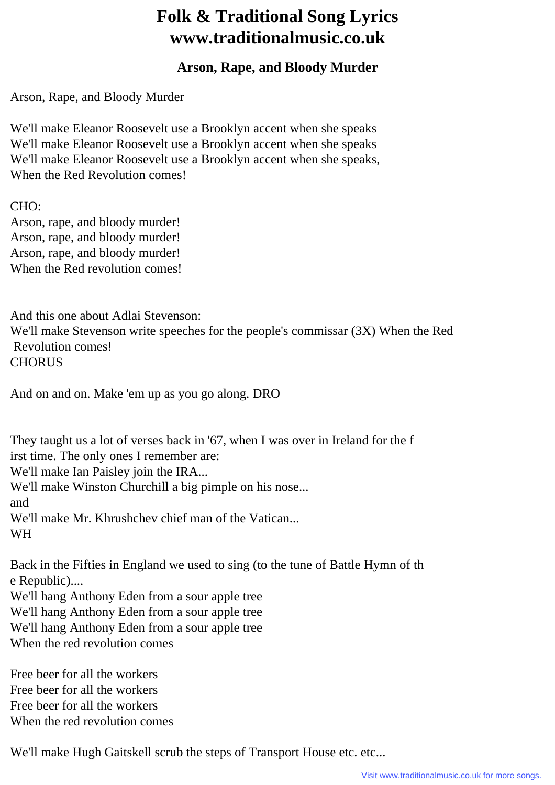## **Folk & Traditional Song Lyrics www.traditionalmusic.co.uk**

## **Arson, Rape, and Bloody Murder**

Arson, Rape, and Bloody Murder

We'll make Eleanor Roosevelt use a Brooklyn accent when she speaks We'll make Eleanor Roosevelt use a Brooklyn accent when she speaks We'll make Eleanor Roosevelt use a Brooklyn accent when she speaks, When the Red Revolution comes!

CHO: Arson, rape, and bloody murder! Arson, rape, and bloody murder! Arson, rape, and bloody murder! When the Red revolution comes!

And this one about Adlai Stevenson: We'll make Stevenson write speeches for the people's commissar (3X) When the Red Revolution comes! **CHORUS** 

And on and on. Make 'em up as you go along. DRO

They taught us a lot of verses back in '67, when I was over in Ireland for the f irst time. The only ones I remember are:

We'll make Ian Paisley join the IRA...

We'll make Winston Churchill a big pimple on his nose...

and

We'll make Mr. Khrushchev chief man of the Vatican... WH

Back in the Fifties in England we used to sing (to the tune of Battle Hymn of th e Republic)....

We'll hang Anthony Eden from a sour apple tree

We'll hang Anthony Eden from a sour apple tree

We'll hang Anthony Eden from a sour apple tree

When the red revolution comes

Free beer for all the workers Free beer for all the workers Free beer for all the workers When the red revolution comes

We'll make Hugh Gaitskell scrub the steps of Transport House etc. etc...